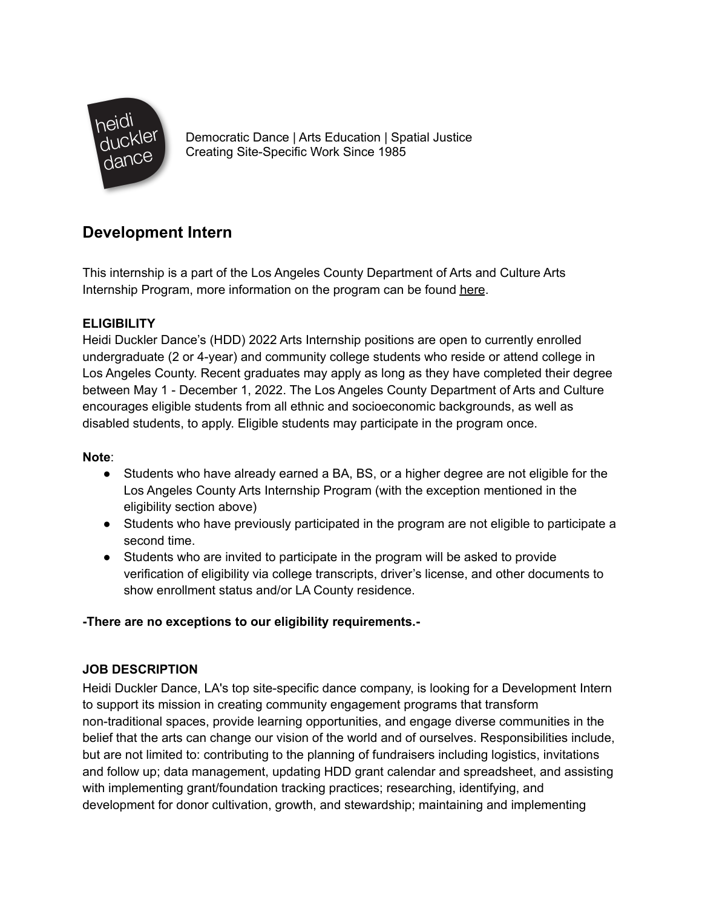

Democratic Dance | Arts Education | Spatial Justice Creating Site-Specific Work Since 1985

# **Development Intern**

This internship is a part of the Los Angeles County Department of Arts and Culture Arts Internship Program, more information on the program can be found [here](https://www.lacountyarts.org/opportunities/arts-internship-program-students/about-arts-internship-program-students).

# **ELIGIBILITY**

Heidi Duckler Dance's (HDD) 2022 Arts Internship positions are open to currently enrolled undergraduate (2 or 4-year) and community college students who reside or attend college in Los Angeles County. Recent graduates may apply as long as they have completed their degree between May 1 - December 1, 2022. The Los Angeles County Department of Arts and Culture encourages eligible students from all ethnic and socioeconomic backgrounds, as well as disabled students, to apply. Eligible students may participate in the program once.

## **Note**:

- Students who have already earned a BA, BS, or a higher degree are not eligible for the Los Angeles County Arts Internship Program (with the exception mentioned in the eligibility section above)
- Students who have previously participated in the program are not eligible to participate a second time.
- Students who are invited to participate in the program will be asked to provide verification of eligibility via college transcripts, driver's license, and other documents to show enrollment status and/or LA County residence.

# **-There are no exceptions to our eligibility requirements.-**

# **JOB DESCRIPTION**

Heidi Duckler Dance, LA's top site-specific dance company, is looking for a Development Intern to support its mission in creating community engagement programs that transform non-traditional spaces, provide learning opportunities, and engage diverse communities in the belief that the arts can change our vision of the world and of ourselves. Responsibilities include, but are not limited to: contributing to the planning of fundraisers including logistics, invitations and follow up; data management, updating HDD grant calendar and spreadsheet, and assisting with implementing grant/foundation tracking practices; researching, identifying, and development for donor cultivation, growth, and stewardship; maintaining and implementing